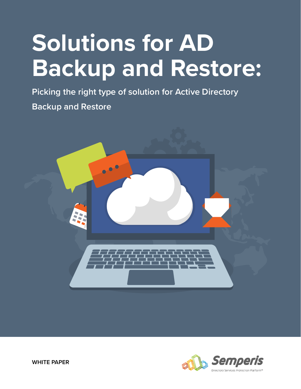# **Solutions for AD Backup and Restore:**

**Picking the right type of solution for Active Directory Backup and Restore**



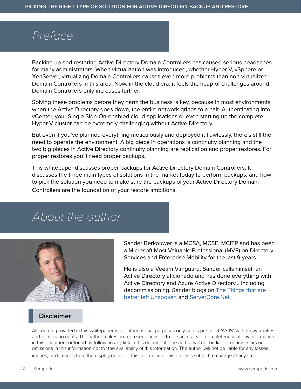# *Preface*

Backing up and restoring Active Directory Domain Controllers has caused serious headaches for many administrators. When virtualization was introduced, whether Hyper-V, vSphere or XenServer, virtualizing Domain Controllers causes even more problems than non-virtualized Domain Controllers in this area. Now, in the cloud era, it feels the heap of challenges around Domain Controllers only increases further.

Solving these problems before they harm the business is key, because in most environments when the Active Directory goes down, the entire network grinds to a halt. Authenticating into vCenter, your Single Sign-On-enabled cloud applications or even starting up the complete Hyper-V cluster can be extremely challenging without Active Directory.

But even if you've planned everything meticulously and deployed it flawlessly, there's still the need to operate the environment. A big piece in operations is continuity planning and the two big pieces in Active Directory continuity planning are replication and proper restores. For proper restores you'll need proper backups.

This whitepaper discusses proper backups for Active Directory Domain Controllers. It discusses the three main types of solutions in the market today to perform backups, and how to pick the solution you need to make sure the backups of your Active Directory Domain Controllers are the foundation of your restore ambitions.

# *About the author*



Sander Berkouwer is a MCSA, MCSE, MCITP and has been a Microsoft Most Valuable Professional (MVP) on Directory Services and Enterprise Mobility for the last 9 years.

He is also a Veeam Vanguard. Sander calls himself an Active Directory aficionado and has done everything with Active Directory and Azure Active Directory… including decommissioning. Sander blogs on [The Things that are](https://dirteam.com/sander/)  [better left Unspoken](https://dirteam.com/sander/) and [ServerCore.Net](https://servercore.net/).

# **Disclaimer**

All content provided in this whitepaper is for informational purposes only and is provided "AS IS" with no warranties and confers no rights. The author makes no representations as to the accuracy or completeness of any information in this document or found by following any link in this document. The author will not be liable for any errors or omissions in this information nor for the availability of this information. The author will not be liable for any losses,

injuries, or damages from the display or use of this information. This policy is subject to change at any time.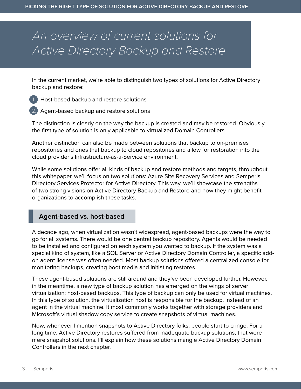# *An overview of current solutions for Active Directory Backup and Restore*

In the current market, we're able to distinguish two types of solutions for Active Directory backup and restore:

1. Host-based backup and restore solutions



2. Agent-based backup and restore solutions

The distinction is clearly on the way the backup is created and may be restored. Obviously, the first type of solution is only applicable to virtualized Domain Controllers.

Another distinction can also be made between solutions that backup to on-premises repositories and ones that backup to cloud repositories and allow for restoration into the cloud provider's Infrastructure-as-a-Service environment.

While some solutions offer all kinds of backup and restore methods and targets, throughout this whitepaper, we'll focus on two solutions: Azure Site Recovery Services and Semperis Directory Services Protector for Active Directory. This way, we'll showcase the strengths of two strong visions on Active Directory Backup and Restore and how they might benefit organizations to accomplish these tasks.

# **Agent-based vs. host-based**

A decade ago, when virtualization wasn't widespread, agent-based backups were the way to go for all systems. There would be one central backup repository. Agents would be needed to be installed and configured on each system you wanted to backup. If the system was a special kind of system, like a SQL Server or Active Directory Domain Controller, a specific addon agent license was often needed. Most backup solutions offered a centralized console for monitoring backups, creating boot media and initiating restores.

These agent-based solutions are still around and they've been developed further. However, in the meantime, a new type of backup solution has emerged on the wings of server virtualization: host-based backups. This type of backup can only be used for virtual machines. In this type of solution, the virtualization host is responsible for the backup, instead of an agent in the virtual machine. It most commonly works together with storage providers and Microsoft's virtual shadow copy service to create snapshots of virtual machines.

Now, whenever I mention snapshots to Active Directory folks, people start to cringe. For a long time, Active Directory restores suffered from inadequate backup solutions, that were mere snapshot solutions. I'll explain how these solutions mangle Active Directory Domain Controllers in the next chapter.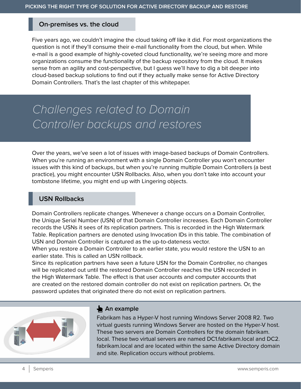#### **On-premises vs. the cloud**

Five years ago, we couldn't imagine the cloud taking off like it did. For most organizations the question is not if they'll consume their e-mail functionality from the cloud, but when. While e-mail is a good example of highly-coveted cloud functionality, we're seeing more and more organizations consume the functionality of the backup repository from the cloud. It makes sense from an agility and cost-perspective, but I guess we'll have to dig a bit deeper into cloud-based backup solutions to find out if they actually make sense for Active Directory Domain Controllers. That's the last chapter of this whitepaper.

# *Challenges related to Domain Controller backups and restores*

Over the years, we've seen a lot of issues with image-based backups of Domain Controllers. When you're running an environment with a single Domain Controller you won't encounter issues with this kind of backups, but when you're running multiple Domain Controllers (a best practice), you might encounter USN Rollbacks. Also, when you don't take into account your tombstone lifetime, you might end up with Lingering objects.

#### **USN Rollbacks**

Domain Controllers replicate changes. Whenever a change occurs on a Domain Controller, the Unique Serial Number (USN) of that Domain Controller increases. Each Domain Controller records the USNs it sees of its replication partners. This is recorded in the High Watermark Table. Replication partners are denoted using Invocation IDs in this table. The combination of USN and Domain Controller is captured as the up-to-dateness vector.

When you restore a Domain Controller to an earlier state, you would restore the USN to an earlier state. This is called an USN rollback.

Since its replication partners have seen a future USN for the Domain Controller, no changes will be replicated out until the restored Domain Controller reaches the USN recorded in the High Watermark Table. The effect is that user accounts and computer accounts that are created on the restored domain controller do not exist on replication partners. Or, the password updates that originated there do not exist on replication partners.



#### An example

Fabrikam has a Hyper-V host running Windows Server 2008 R2. Two virtual guests running Windows Server are hosted on the Hyper-V host. These two servers are Domain Controllers for the domain fabrikam. local. These two virtual servers are named DC1.fabrikam.local and DC2. fabrikam.local and are located within the same Active Directory domain and site. Replication occurs without problems.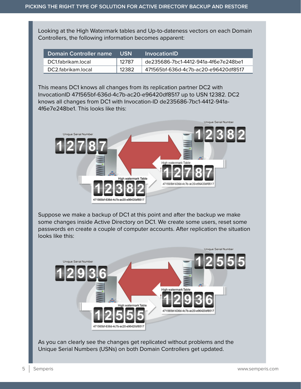Looking at the High Watermark tables and Up-to-dateness vectors on each Domain Controllers, the following information becomes apparent:

| Domain Controller name | USN   | InvocationID!                        |
|------------------------|-------|--------------------------------------|
| DC1.fabrikam.local     | 12787 | de235686-7bc1-4412-941a-4f6e7e248be1 |
| DC2 fabrikam local     | 12382 | 471565bf-636d-4c7b-ac20-e96420df8517 |

This means DC1 knows all changes from its replication partner DC2 with InvocationID 471565bf-636d-4c7b-ac20-e96420df8517 up to USN 12382. DC2 knows all changes from DC1 with Invocation-ID de235686-7bc1-4412-941a-4f6e7e248be1. This looks like this:



Suppose we make a backup of DC1 at this point and after the backup we make some changes inside Active Directory on DC1. We create some users, reset some passwords en create a couple of computer accounts. After replication the situation looks like this:



As you can clearly see the changes get replicated without problems and the Unique Serial Numbers (USNs) on both Domain Controllers get updated.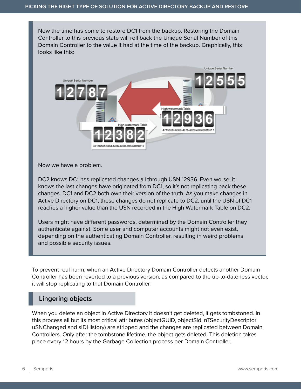Now the time has come to restore DC1 from the backup. Restoring the Domain Controller to this previous state will roll back the Unique Serial Number of this Domain Controller to the value it had at the time of the backup. Graphically, this looks like this:



Now we have a problem.

DC2 knows DC1 has replicated changes all through USN 12936. Even worse, it knows the last changes have originated from DC1, so it's not replicating back these changes. DC1 and DC2 both own their version of the truth. As you make changes in Active Directory on DC1, these changes do not replicate to DC2, until the USN of DC1 reaches a higher value than the USN recorded in the High Watermark Table on DC2.

Users might have different passwords, determined by the Domain Controller they authenticate against. Some user and computer accounts might not even exist, depending on the authenticating Domain Controller, resulting in weird problems and possible security issues.

To prevent real harm, when an Active Directory Domain Controller detects another Domain Controller has been reverted to a previous version, as compared to the up-to-dateness vector, it will stop replicating to that Domain Controller.

#### **Lingering objects**

When you delete an object in Active Directory it doesn't get deleted, it gets tombstoned. In this process all but its most critical attributes (objectGUID, objectSid, nTSecurityDescriptor uSNChanged and sIDHistory) are stripped and the changes are replicated between Domain Controllers. Only after the tombstone lifetime, the object gets deleted. This deletion takes place every 12 hours by the Garbage Collection process per Domain Controller.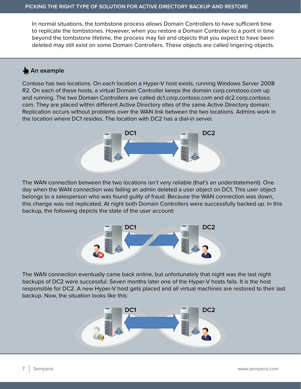In normal situations, the tombstone process allows Domain Controllers to have sufficient time to replicate the tombstones. However, when you restore a Domain Controller to a point in time beyond the tombstone lifetime, the process may fail and objects that you expect to have been deleted may still exist on some Domain Controllers. These objects are called lingering objects.

# An example

Contoso has two locations. On each location a Hyper-V host exists, running Windows Server 2008 R2. On each of these hosts, a virtual Domain Controller keeps the domain corp.constoso.com up and running. The two Domain Controllers are called dc1.corp.contoso.com and dc2.corp.contoso. com. They are placed within different Active Directory sites of the same Active Directory domain. Replication occurs without problems over the WAN link between the two locations. Admins work in the location where DC1 resides. The location with DC2 has a dial-in server.



The WAN connection between the two locations isn't very reliable (that's an understatement). One day when the WAN connection was failing an admin deleted a user object on DC1. This user object belongs to a salesperson who was found guilty of fraud. Because the WAN connection was down, this change was not replicated. At night both Domain Controllers were successfully backed up. In this backup, the following depicts the state of the user account:



The WAN connection eventually came back online, but unfortunately that night was the last night backups of DC2 were successful. Seven months later one of the Hyper-V hosts fails. It is the host responsible for DC2. A new Hyper-V host gets placed and all virtual machines are restored to their last backup. Now, the situation looks like this:

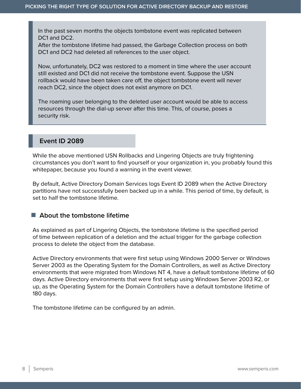In the past seven months the objects tombstone event was replicated between DC1 and DC2.

After the tombstone lifetime had passed, the Garbage Collection process on both DC1 and DC2 had deleted all references to the user object.

Now, unfortunately, DC2 was restored to a moment in time where the user account still existed and DC1 did not receive the tombstone event. Suppose the USN rollback would have been taken care off, the object tombstone event will never reach DC2, since the object does not exist anymore on DC1.

The roaming user belonging to the deleted user account would be able to access resources through the dial-up server after this time. This, of course, poses a security risk.

# **Event ID 2089**

While the above mentioned USN Rollbacks and Lingering Objects are truly frightening circumstances you don't want to find yourself or your organization in, you probably found this whitepaper, because you found a warning in the event viewer.

By default, Active Directory Domain Services logs Event ID 2089 when the Active Directory partitions have not successfully been backed up in a while. This period of time, by default, is set to half the tombstone lifetime.

#### ■ About the tombstone lifetime

As explained as part of Lingering Objects, the tombstone lifetime is the specified period of time between replication of a deletion and the actual trigger for the garbage collection process to delete the object from the database.

Active Directory environments that were first setup using Windows 2000 Server or Windows Server 2003 as the Operating System for the Domain Controllers, as well as Active Directory environments that were migrated from Windows NT 4, have a default tombstone lifetime of 60 days. Active Directory environments that were first setup using Windows Server 2003 R2, or up, as the Operating System for the Domain Controllers have a default tombstone lifetime of 180 days.

The tombstone lifetime can be configured by an admin.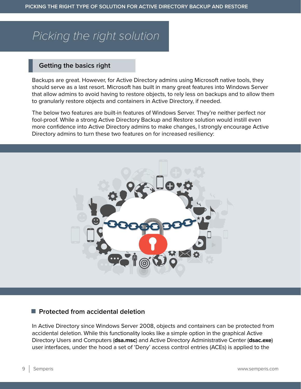# *Picking the right solution*

## **Getting the basics right**

Backups are great. However, for Active Directory admins using Microsoft native tools, they should serve as a last resort. Microsoft has built in many great features into Windows Server that allow admins to avoid having to restore objects, to rely less on backups and to allow them to granularly restore objects and containers in Active Directory, if needed.

The below two features are built-in features of Windows Server. They're neither perfect nor fool-proof. While a strong Active Directory Backup and Restore solution would instill even more confidence into Active Directory admins to make changes, I strongly encourage Active Directory admins to turn these two features on for increased resiliency:



#### **Protected from accidental deletion**

In Active Directory since Windows Server 2008, objects and containers can be protected from accidental deletion. While this functionality looks like a simple option in the graphical Active Directory Users and Computers (**dsa.msc**) and Active Directory Administrative Center (**dsac.exe**) user interfaces, under the hood a set of 'Deny' access control entries (ACEs) is applied to the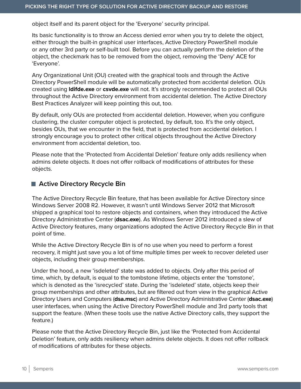object itself and its parent object for the 'Everyone' security principal.

Its basic functionality is to throw an Access denied error when you try to delete the object, either through the built-in graphical user interfaces, Active Directory PowerShell module or any other 3rd party or self-built tool. Before you can actually perform the deletion of the object, the checkmark has to be removed from the object, removing the 'Deny' ACE for 'Everyone'.

Any Organizational Unit (OU) created with the graphical tools and through the Active Directory PowerShell module will be automatically protected from accidental deletion. OUs created using **ldifde.exe** or **csvde.exe** will not. It's strongly recommended to protect all OUs throughout the Active Directory environment from accidental deletion. The Active Directory Best Practices Analyzer will keep pointing this out, too.

By default, only OUs are protected from accidental deletion. However, when you configure clustering, the cluster computer object is protected, by default, too. It's the only object, besides OUs, that we encounter in the field, that is protected from accidental deletion. I strongly encourage you to protect other critical objects throughout the Active Directory environment from accidental deletion, too.

Please note that the 'Protected from Accidental Deletion' feature only adds resiliency when admins delete objects. It does not offer rollback of modifications of attributes for these objects.

#### ■ Active Directory Recycle Bin

The Active Directory Recycle Bin feature, that has been available for Active Directory since Windows Server 2008 R2. However, it wasn't until Windows Server 2012 that Microsoft shipped a graphical tool to restore objects and containers, when they introduced the Active Directory Administrative Center (**dsac.exe**). As Windows Server 2012 introduced a slew of Active Directory features, many organizations adopted the Active Directory Recycle Bin in that point of time.

While the Active Directory Recycle Bin is of no use when you need to perform a forest recovery, it might just save you a lot of time multiple times per week to recover deleted user objects, including their group memberships.

Under the hood, a new 'isdeleted' state was added to objects. Only after this period of time, which, by default, is equal to the tombstone lifetime, objects enter the 'tomstone', which is denoted as the 'isrecycled' state. During the 'isdeleted' state, objects keep their group memberships and other attributes, but are filtered out from view in the graphical Active Directory Users and Computers (**dsa.msc**) and Active Directory Administrative Center (**dsac.exe**) user interfaces, when using the Active Directory PowerShell module and 3rd party tools that support the feature. (When these tools use the native Active Directory calls, they support the feature.)

Please note that the Active Directory Recycle Bin, just like the 'Protected from Accidental Deletion' feature, only adds resiliency when admins delete objects. It does not offer rollback of modifications of attributes for these objects.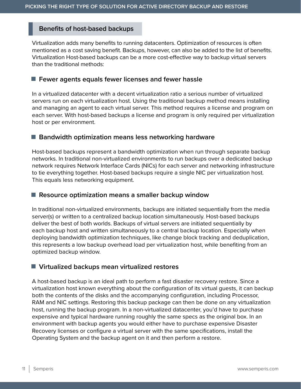### **Benefits of host-based backups**

Virtualization adds many benefits to running datacenters. Optimization of resources is often mentioned as a cost saving benefit. Backups, however, can also be added to the list of benefits. Virtualization Host-based backups can be a more cost-effective way to backup virtual servers than the traditional methods:

#### **Fewer agents equals fewer licenses and fewer hassle**

In a virtualized datacenter with a decent virtualization ratio a serious number of virtualized servers run on each virtualization host. Using the traditional backup method means installing and managing an agent to each virtual server. This method requires a license and program on each server. With host-based backups a license and program is only required per virtualization host or per environment.

#### **Bandwidth optimization means less networking hardware**

Host-based backups represent a bandwidth optimization when run through separate backup networks. In traditional non-virtualized environments to run backups over a dedicated backup network requires Network Interface Cards (NICs) for each server and networking infrastructure to tie everything together. Host-based backups require a single NIC per virtualization host. This equals less networking equipment.

#### **Resource optimization means a smaller backup window**

In traditional non-virtualized environments, backups are initiated sequentially from the media server(s) or written to a centralized backup location simultaneously. Host-based backups deliver the best of both worlds. Backups of virtual servers are initiated sequentially by each backup host and written simultaneously to a central backup location. Especially when deploying bandwidth optimization techniques, like change block tracking and deduplication, this represents a low backup overhead load per virtualization host, while benefiting from an optimized backup window.

#### **Virtualized backups mean virtualized restores**

A host-based backup is an ideal path to perform a fast disaster recovery restore. Since a virtualization host known everything about the configuration of its virtual guests, it can backup both the contents of the disks and the accompanying configuration, including Processor, RAM and NIC settings. Restoring this backup package can then be done on any virtualization host, running the backup program. In a non-virtualized datacenter, you'd have to purchase expensive and typical hardware running roughly the same specs as the original box. In an environment with backup agents you would either have to purchase expensive Disaster Recovery licenses or configure a virtual server with the same specifications, install the Operating System and the backup agent on it and then perform a restore.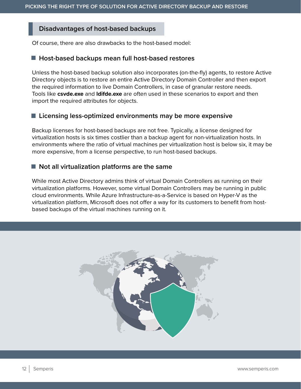# **Disadvantages of host-based backups**

Of course, there are also drawbacks to the host-based model:

#### **Host-based backups mean full host-based restores**

Unless the host-based backup solution also incorporates (on-the-fly) agents, to restore Active Directory objects is to restore an entire Active Directory Domain Controller and then export the required information to live Domain Controllers, in case of granular restore needs. Tools like **csvde.exe** and **ldifde.exe** are often used in these scenarios to export and then import the required attributes for objects.

#### **Licensing less-optimized environments may be more expensive**

Backup licenses for host-based backups are not free. Typically, a license designed for virtualization hosts is six times costlier than a backup agent for non-virtualization hosts. In environments where the ratio of virtual machines per virtualization host is below six, it may be more expensive, from a license perspective, to run host-based backups.

#### ■ Not all virtualization platforms are the same

While most Active Directory admins think of virtual Domain Controllers as running on their virtualization platforms. However, some virtual Domain Controllers may be running in public cloud environments. While Azure Infrastructure-as-a-Service is based on Hyper-V as the virtualization platform, Microsoft does not offer a way for its customers to benefit from hostbased backups of the virtual machines running on it.

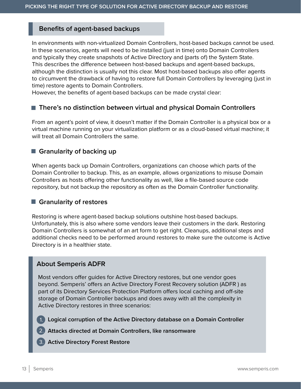## **Benefits of agent-based backups**

In environments with non-virtualized Domain Controllers, host-based backups cannot be used. In these scenarios, agents will need to be installed (just in time) onto Domain Controllers and typically they create snapshots of Active Directory and (parts of) the System State. This describes the difference between host-based backups and agent-based backups, although the distinction is usually not this clear. Most host-based backups also offer agents to circumvent the drawback of having to restore full Domain Controllers by leveraging (just in time) restore agents to Domain Controllers.

However, the benefits of agent-based backups can be made crystal clear:

#### ■ There's no distinction between virtual and physical Domain Controllers

From an agent's point of view, it doesn't matter if the Domain Controller is a physical box or a virtual machine running on your virtualization platform or as a cloud-based virtual machine; it will treat all Domain Controllers the same.

#### **Granularity of backing up**

When agents back up Domain Controllers, organizations can choose which parts of the Domain Controller to backup. This, as an example, allows organizations to misuse Domain Controllers as hosts offering other functionality as well, like a file-based source code repository, but not backup the repository as often as the Domain Controller functionality.

#### **Granularity of restores**

Restoring is where agent-based backup solutions outshine host-based backups. Unfortunately, this is also where some vendors leave their customers in the dark. Restoring Domain Controllers is somewhat of an art form to get right. Cleanups, additional steps and additional checks need to be performed around restores to make sure the outcome is Active Directory is in a healthier state.

#### **About Semperis ADFR**

Most vendors offer guides for Active Directory restores, but one vendor goes beyond. Semperis' offers an Active Directory Forest Recovery solution (ADFR ) as part of its Directory Services Protection Platform offers local caching and off-site storage of Domain Controller backups and does away with all the complexity in Active Directory restores in three scenarios:

**Logical corruption of the Active Directory database on a Domain Controller** 1.

- **Attacks directed at Domain Controllers, like ransomware** 2.
- **Active Directory Forest Restore** 3.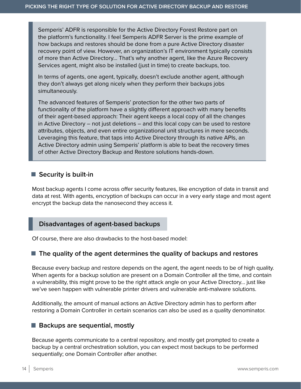Semperis' ADFR is responsible for the Active Directory Forest Restore part on the platform's functionality. I feel Semperis ADFR Server is the prime example of how backups and restores should be done from a pure Active Directory disaster recovery point of view. However, an organization's IT environment typically consists of more than Active Directory… That's why another agent, like the Azure Recovery Services agent, might also be installed (just in time) to create backups, too.

In terms of agents, one agent, typically, doesn't exclude another agent, although they don't always get along nicely when they perform their backups jobs simultaneously.

The advanced features of Semperis' protection for the other two parts of functionality of the platform have a slightly different approach with many benefits of their agent-based approach: Their agent keeps a local copy of all the changes in Active Directory – not just deletions – and this local copy can be used to restore attributes, objects, and even entire organizational unit structures in mere seconds. Leveraging this feature, that taps into Active Directory through its native APIs, an Active Directory admin using Semperis' platform is able to beat the recovery times of other Active Directory Backup and Restore solutions hands-down.

#### **Security is built-in**

Most backup agents I come across offer security features, like encryption of data in transit and data at rest. With agents, encryption of backups can occur in a very early stage and most agent encrypt the backup data the nanosecond they access it.

#### **Disadvantages of agent-based backups**

Of course, there are also drawbacks to the host-based model:

# **The quality of the agent determines the quality of backups and restores**

Because every backup and restore depends on the agent, the agent needs to be of high quality. When agents for a backup solution are present on a Domain Controller all the time, and contain a vulnerability, this might prove to be the right attack angle on your Active Directory… just like we've seen happen with vulnerable printer drivers and vulnerable anti-malware solutions.

Additionally, the amount of manual actions an Active Directory admin has to perform after restoring a Domain Controller in certain scenarios can also be used as a quality denominator.

#### ■ Backups are sequential, mostly

Because agents communicate to a central repository, and mostly get prompted to create a backup by a central orchestration solution, you can expect most backups to be performed sequentially; one Domain Controller after another.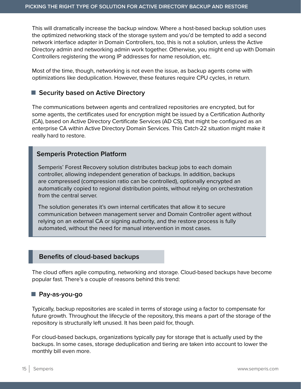This will dramatically increase the backup window. Where a host-based backup solution uses the optimized networking stack of the storage system and you'd be tempted to add a second network interface adapter in Domain Controllers, too, this is not a solution, unless the Active Directory admin and networking admin work together. Otherwise, you might end up with Domain Controllers registering the wrong IP addresses for name resolution, etc.

Most of the time, though, networking is not even the issue, as backup agents come with optimizations like deduplication. However, these features require CPU cycles, in return.

#### ■ Security based on Active Directory

The communications between agents and centralized repositories are encrypted, but for some agents, the certificates used for encryption might be issued by a Certification Authority (CA), based on Active Directory Certificate Services (AD CS), that might be configured as an enterprise CA within Active Directory Domain Services. This Catch-22 situation might make it really hard to restore.

### **Semperis Protection Platform**

Semperis' Forest Recovery solution distributes backup jobs to each domain controller, allowing independent generation of backups. In addition, backups are compressed (compression ratio can be controlled), optionally encrypted an automatically copied to regional distribution points, without relying on orchestration from the central server.

The solution generates it's own internal certificates that allow it to secure communication between management server and Domain Controller agent without relying on an external CA or signing authority, and the restore process is fully automated, without the need for manual intervention in most cases.

# **Benefits of cloud-based backups**

The cloud offers agile computing, networking and storage. Cloud-based backups have become popular fast. There's a couple of reasons behind this trend:

#### **Pay-as-you-go**

Typically, backup repositories are scaled in terms of storage using a factor to compensate for future growth. Throughout the lifecycle of the repository, this means a part of the storage of the repository is structurally left unused. It has been paid for, though.

For cloud-based backups, organizations typically pay for storage that is actually used by the backups. In some cases, storage deduplication and tiering are taken into account to lower the monthly bill even more.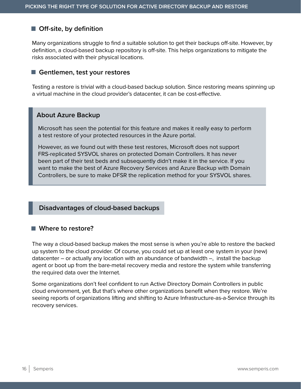# **Off-site, by definition**

Many organizations struggle to find a suitable solution to get their backups off-site. However, by definition, a cloud-based backup repository is off-site. This helps organizations to mitigate the risks associated with their physical locations.

#### **Gentlemen, test your restores**

Testing a restore is trivial with a cloud-based backup solution. Since restoring means spinning up a virtual machine in the cloud provider's datacenter, it can be cost-effective.

#### **About Azure Backup**

Microsoft has seen the potential for this feature and makes it really easy to perform a test restore of your protected resources in the Azure portal.

However, as we found out with these test restores, Microsoft does not support FRS-replicated SYSVOL shares on protected Domain Controllers. It has never been part of their test beds and subsequently didn't make it in the service. If you want to make the best of Azure Recovery Services and Azure Backup with Domain Controllers, be sure to make DFSR the replication method for your SYSVOL shares.

#### **Disadvantages of cloud-based backups**

#### **Where to restore?**

The way a cloud-based backup makes the most sense is when you're able to restore the backed up system to the cloud provider. Of course, you could set up at least one system in your (new) datacenter – or actually any location with an abundance of bandwidth –, install the backup agent or boot up from the bare-metal recovery media and restore the system while transferring the required data over the Internet.

Some organizations don't feel confident to run Active Directory Domain Controllers in public cloud environment, yet. But that's where other organizations benefit when they restore. We're seeing reports of organizations lifting and shifting to Azure Infrastructure-as-a-Service through its recovery services.